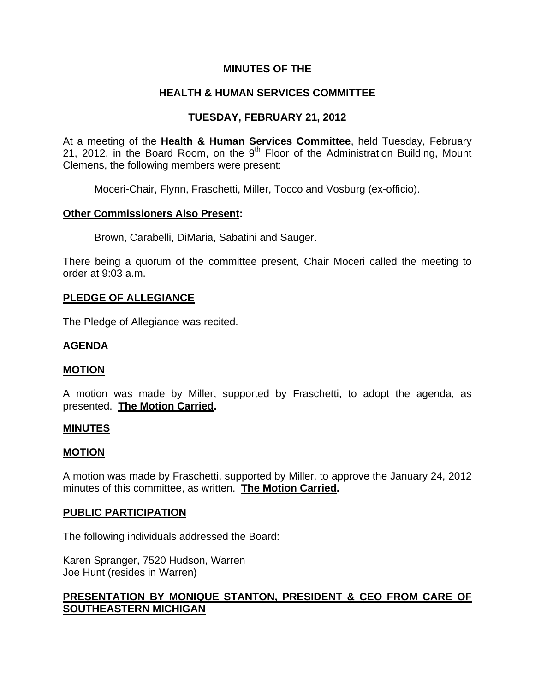# **MINUTES OF THE**

# **HEALTH & HUMAN SERVICES COMMITTEE**

# **TUESDAY, FEBRUARY 21, 2012**

At a meeting of the **Health & Human Services Committee**, held Tuesday, February 21, 2012, in the Board Room, on the  $9<sup>th</sup>$  Floor of the Administration Building, Mount Clemens, the following members were present:

Moceri-Chair, Flynn, Fraschetti, Miller, Tocco and Vosburg (ex-officio).

#### **Other Commissioners Also Present:**

Brown, Carabelli, DiMaria, Sabatini and Sauger.

There being a quorum of the committee present, Chair Moceri called the meeting to order at 9:03 a.m.

#### **PLEDGE OF ALLEGIANCE**

The Pledge of Allegiance was recited.

# **AGENDA**

#### **MOTION**

A motion was made by Miller, supported by Fraschetti, to adopt the agenda, as presented. **The Motion Carried.** 

#### **MINUTES**

#### **MOTION**

A motion was made by Fraschetti, supported by Miller, to approve the January 24, 2012 minutes of this committee, as written. **The Motion Carried.** 

#### **PUBLIC PARTICIPATION**

The following individuals addressed the Board:

Karen Spranger, 7520 Hudson, Warren Joe Hunt (resides in Warren)

# **PRESENTATION BY MONIQUE STANTON, PRESIDENT & CEO FROM CARE OF SOUTHEASTERN MICHIGAN**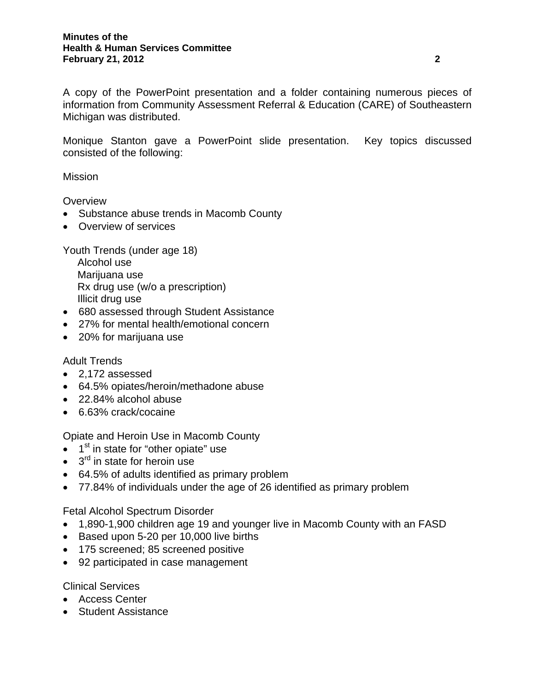A copy of the PowerPoint presentation and a folder containing numerous pieces of information from Community Assessment Referral & Education (CARE) of Southeastern Michigan was distributed.

Monique Stanton gave a PowerPoint slide presentation. Key topics discussed consisted of the following:

**Mission** 

**Overview** 

- Substance abuse trends in Macomb County
- Overview of services

Youth Trends (under age 18)

 Alcohol use Marijuana use Rx drug use (w/o a prescription) Illicit drug use

- 680 assessed through Student Assistance
- 27% for mental health/emotional concern
- 20% for marijuana use

#### Adult Trends

- 2,172 assessed
- 64.5% opiates/heroin/methadone abuse
- 22.84% alcohol abuse
- 6.63% crack/cocaine

Opiate and Heroin Use in Macomb County

- $\bullet$  1<sup>st</sup> in state for "other opiate" use
- $\bullet$  3<sup>rd</sup> in state for heroin use
- 64.5% of adults identified as primary problem
- 77.84% of individuals under the age of 26 identified as primary problem

Fetal Alcohol Spectrum Disorder

- 1,890-1,900 children age 19 and younger live in Macomb County with an FASD
- Based upon 5-20 per 10,000 live births
- 175 screened; 85 screened positive
- 92 participated in case management

Clinical Services

- Access Center
- Student Assistance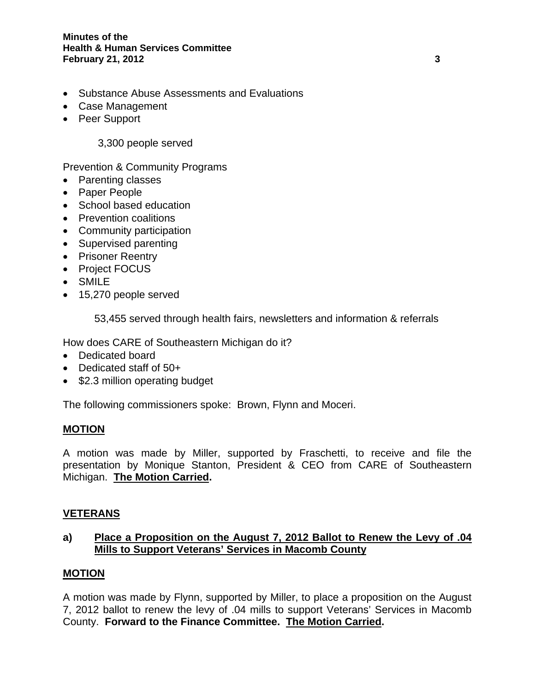- Substance Abuse Assessments and Evaluations
- Case Management
- Peer Support

3,300 people served

Prevention & Community Programs

- Parenting classes
- Paper People
- School based education
- Prevention coalitions
- Community participation
- Supervised parenting
- Prisoner Reentry
- Project FOCUS
- SMILE
- 15,270 people served

53,455 served through health fairs, newsletters and information & referrals

How does CARE of Southeastern Michigan do it?

- Dedicated board
- Dedicated staff of 50+
- \$2.3 million operating budget

The following commissioners spoke: Brown, Flynn and Moceri.

# **MOTION**

A motion was made by Miller, supported by Fraschetti, to receive and file the presentation by Monique Stanton, President & CEO from CARE of Southeastern Michigan. **The Motion Carried.** 

# **VETERANS**

# **a) Place a Proposition on the August 7, 2012 Ballot to Renew the Levy of .04 Mills to Support Veterans' Services in Macomb County**

# **MOTION**

A motion was made by Flynn, supported by Miller, to place a proposition on the August 7, 2012 ballot to renew the levy of .04 mills to support Veterans' Services in Macomb County. **Forward to the Finance Committee. The Motion Carried.**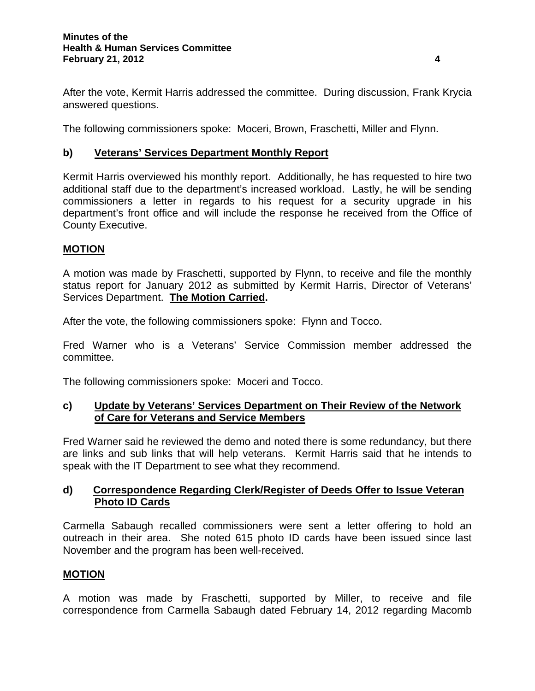After the vote, Kermit Harris addressed the committee. During discussion, Frank Krycia answered questions.

The following commissioners spoke: Moceri, Brown, Fraschetti, Miller and Flynn.

# **b) Veterans' Services Department Monthly Report**

Kermit Harris overviewed his monthly report. Additionally, he has requested to hire two additional staff due to the department's increased workload. Lastly, he will be sending commissioners a letter in regards to his request for a security upgrade in his department's front office and will include the response he received from the Office of County Executive.

# **MOTION**

A motion was made by Fraschetti, supported by Flynn, to receive and file the monthly status report for January 2012 as submitted by Kermit Harris, Director of Veterans' Services Department. **The Motion Carried.** 

After the vote, the following commissioners spoke: Flynn and Tocco.

Fred Warner who is a Veterans' Service Commission member addressed the committee.

The following commissioners spoke: Moceri and Tocco.

# **c) Update by Veterans' Services Department on Their Review of the Network of Care for Veterans and Service Members**

Fred Warner said he reviewed the demo and noted there is some redundancy, but there are links and sub links that will help veterans. Kermit Harris said that he intends to speak with the IT Department to see what they recommend.

# **d) Correspondence Regarding Clerk/Register of Deeds Offer to Issue Veteran Photo ID Cards**

Carmella Sabaugh recalled commissioners were sent a letter offering to hold an outreach in their area. She noted 615 photo ID cards have been issued since last November and the program has been well-received.

# **MOTION**

A motion was made by Fraschetti, supported by Miller, to receive and file correspondence from Carmella Sabaugh dated February 14, 2012 regarding Macomb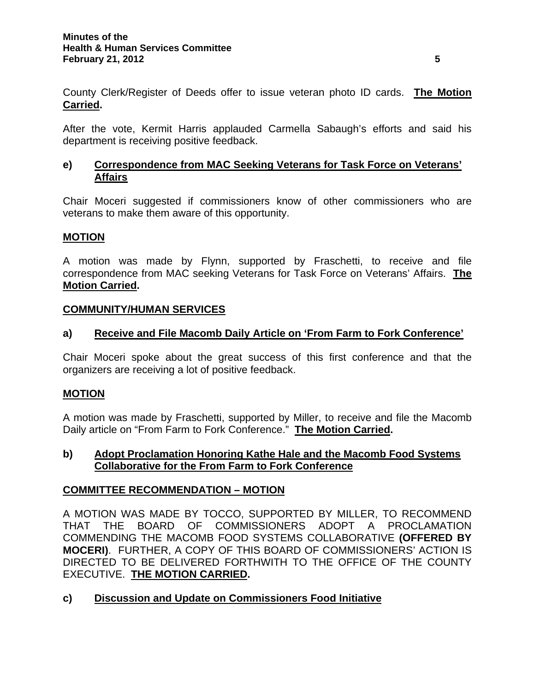County Clerk/Register of Deeds offer to issue veteran photo ID cards. **The Motion Carried.** 

After the vote, Kermit Harris applauded Carmella Sabaugh's efforts and said his department is receiving positive feedback.

# **e) Correspondence from MAC Seeking Veterans for Task Force on Veterans' Affairs**

Chair Moceri suggested if commissioners know of other commissioners who are veterans to make them aware of this opportunity.

# **MOTION**

A motion was made by Flynn, supported by Fraschetti, to receive and file correspondence from MAC seeking Veterans for Task Force on Veterans' Affairs. **The Motion Carried.** 

# **COMMUNITY/HUMAN SERVICES**

# **a) Receive and File Macomb Daily Article on 'From Farm to Fork Conference'**

Chair Moceri spoke about the great success of this first conference and that the organizers are receiving a lot of positive feedback.

# **MOTION**

A motion was made by Fraschetti, supported by Miller, to receive and file the Macomb Daily article on "From Farm to Fork Conference." **The Motion Carried.** 

# **b) Adopt Proclamation Honoring Kathe Hale and the Macomb Food Systems Collaborative for the From Farm to Fork Conference**

# **COMMITTEE RECOMMENDATION – MOTION**

A MOTION WAS MADE BY TOCCO, SUPPORTED BY MILLER, TO RECOMMEND THAT THE BOARD OF COMMISSIONERS ADOPT A PROCLAMATION COMMENDING THE MACOMB FOOD SYSTEMS COLLABORATIVE **(OFFERED BY MOCERI)**. FURTHER, A COPY OF THIS BOARD OF COMMISSIONERS' ACTION IS DIRECTED TO BE DELIVERED FORTHWITH TO THE OFFICE OF THE COUNTY EXECUTIVE. **THE MOTION CARRIED.** 

# **c) Discussion and Update on Commissioners Food Initiative**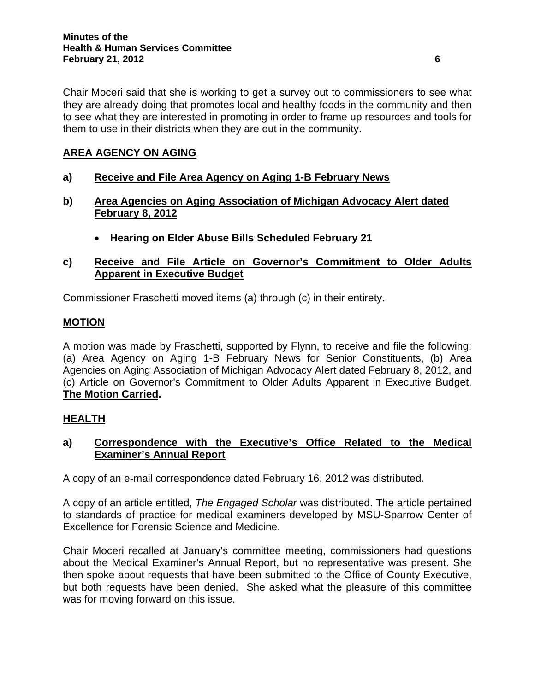Chair Moceri said that she is working to get a survey out to commissioners to see what they are already doing that promotes local and healthy foods in the community and then to see what they are interested in promoting in order to frame up resources and tools for them to use in their districts when they are out in the community.

# **AREA AGENCY ON AGING**

- **a) Receive and File Area Agency on Aging 1-B February News**
- **b) Area Agencies on Aging Association of Michigan Advocacy Alert dated February 8, 2012**
	- **Hearing on Elder Abuse Bills Scheduled February 21**
- **c) Receive and File Article on Governor's Commitment to Older Adults Apparent in Executive Budget**

Commissioner Fraschetti moved items (a) through (c) in their entirety.

#### **MOTION**

A motion was made by Fraschetti, supported by Flynn, to receive and file the following: (a) Area Agency on Aging 1-B February News for Senior Constituents, (b) Area Agencies on Aging Association of Michigan Advocacy Alert dated February 8, 2012, and (c) Article on Governor's Commitment to Older Adults Apparent in Executive Budget. **The Motion Carried.** 

# **HEALTH**

# **a) Correspondence with the Executive's Office Related to the Medical Examiner's Annual Report**

A copy of an e-mail correspondence dated February 16, 2012 was distributed.

A copy of an article entitled, *The Engaged Scholar* was distributed. The article pertained to standards of practice for medical examiners developed by MSU-Sparrow Center of Excellence for Forensic Science and Medicine.

Chair Moceri recalled at January's committee meeting, commissioners had questions about the Medical Examiner's Annual Report, but no representative was present. She then spoke about requests that have been submitted to the Office of County Executive, but both requests have been denied. She asked what the pleasure of this committee was for moving forward on this issue.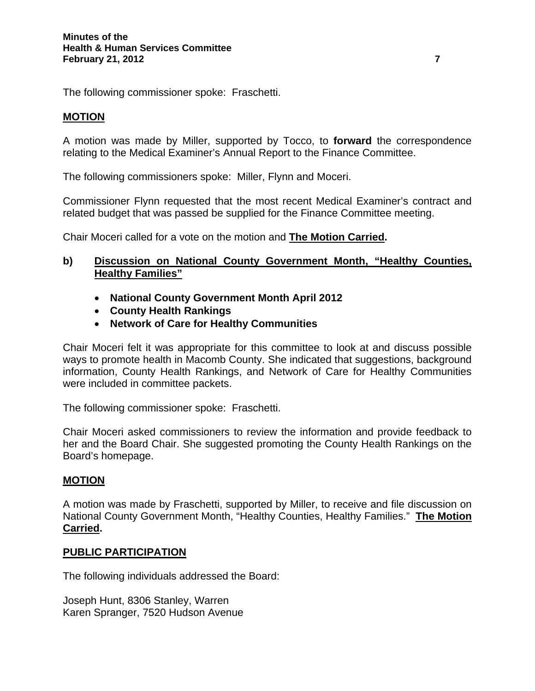The following commissioner spoke: Fraschetti.

#### **MOTION**

A motion was made by Miller, supported by Tocco, to **forward** the correspondence relating to the Medical Examiner's Annual Report to the Finance Committee.

The following commissioners spoke: Miller, Flynn and Moceri.

Commissioner Flynn requested that the most recent Medical Examiner's contract and related budget that was passed be supplied for the Finance Committee meeting.

Chair Moceri called for a vote on the motion and **The Motion Carried.** 

### **b) Discussion on National County Government Month, "Healthy Counties, Healthy Families"**

- **National County Government Month April 2012**
- **County Health Rankings**
- **Network of Care for Healthy Communities**

Chair Moceri felt it was appropriate for this committee to look at and discuss possible ways to promote health in Macomb County. She indicated that suggestions, background information, County Health Rankings, and Network of Care for Healthy Communities were included in committee packets.

The following commissioner spoke: Fraschetti.

Chair Moceri asked commissioners to review the information and provide feedback to her and the Board Chair. She suggested promoting the County Health Rankings on the Board's homepage.

# **MOTION**

A motion was made by Fraschetti, supported by Miller, to receive and file discussion on National County Government Month, "Healthy Counties, Healthy Families." **The Motion Carried.** 

#### **PUBLIC PARTICIPATION**

The following individuals addressed the Board:

Joseph Hunt, 8306 Stanley, Warren Karen Spranger, 7520 Hudson Avenue